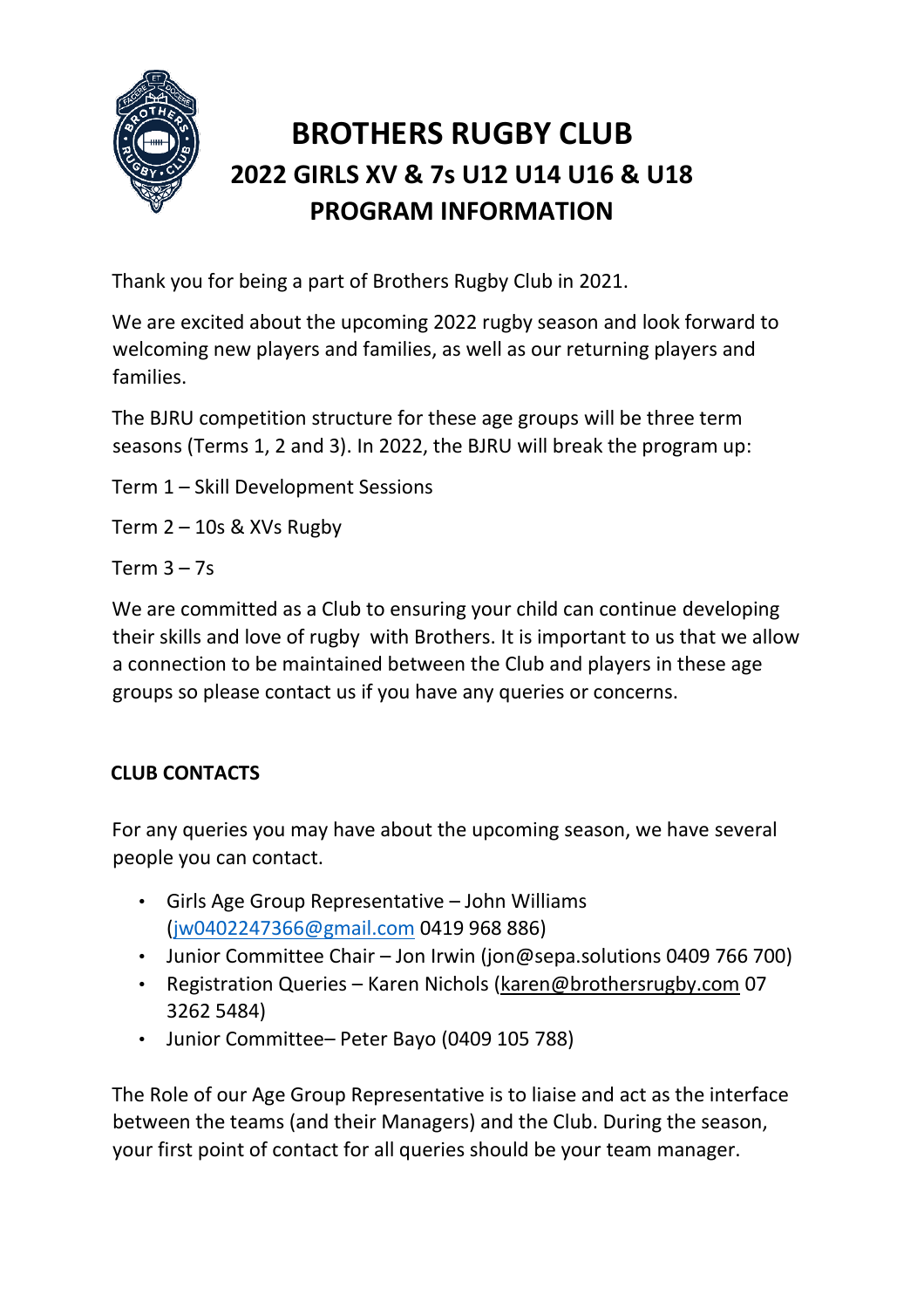

# **BROTHERS RUGBY CLUB 2022 GIRLS XV & 7s U12 U14 U16 & U18 PROGRAM INFORMATION**

Thank you for being a part of Brothers Rugby Club in 2021.

We are excited about the upcoming 2022 rugby season and look forward to welcoming new players and families, as well as our returning players and families.

The BJRU competition structure for these age groups will be three term seasons (Terms 1, 2 and 3). In 2022, the BJRU will break the program up:

Term 1 – Skill Development Sessions

Term  $2 - 10s$  & XVs Rugby

Term  $3 - 7s$ 

We are committed as a Club to ensuring your child can continue developing their skills and love of rugby with Brothers. It is important to us that we allow a connection to be maintained between the Club and players in these age groups so please contact us if you have any queries or concerns.

# **CLUB CONTACTS**

For any queries you may have about the upcoming season, we have several people you can contact.

- Girls Age Group Representative John Williams [\(jw0402247366@gmail.com](mailto:jw0402247366@gmail.com) 0419 968 886)
- Junior Committee Chair Jon Irwin (jon@sepa.solutions 0409 766 700)
- Registration Queries Karen Nichols [\(karen@brothersrugby.com](mailto:karen@brothersrugby.com) 07 3262 5484)
- Junior Committee– Peter Bayo (0409 105 788)

The Role of our Age Group Representative is to liaise and act as the interface between the teams (and their Managers) and the Club. During the season, your first point of contact for all queries should be your team manager.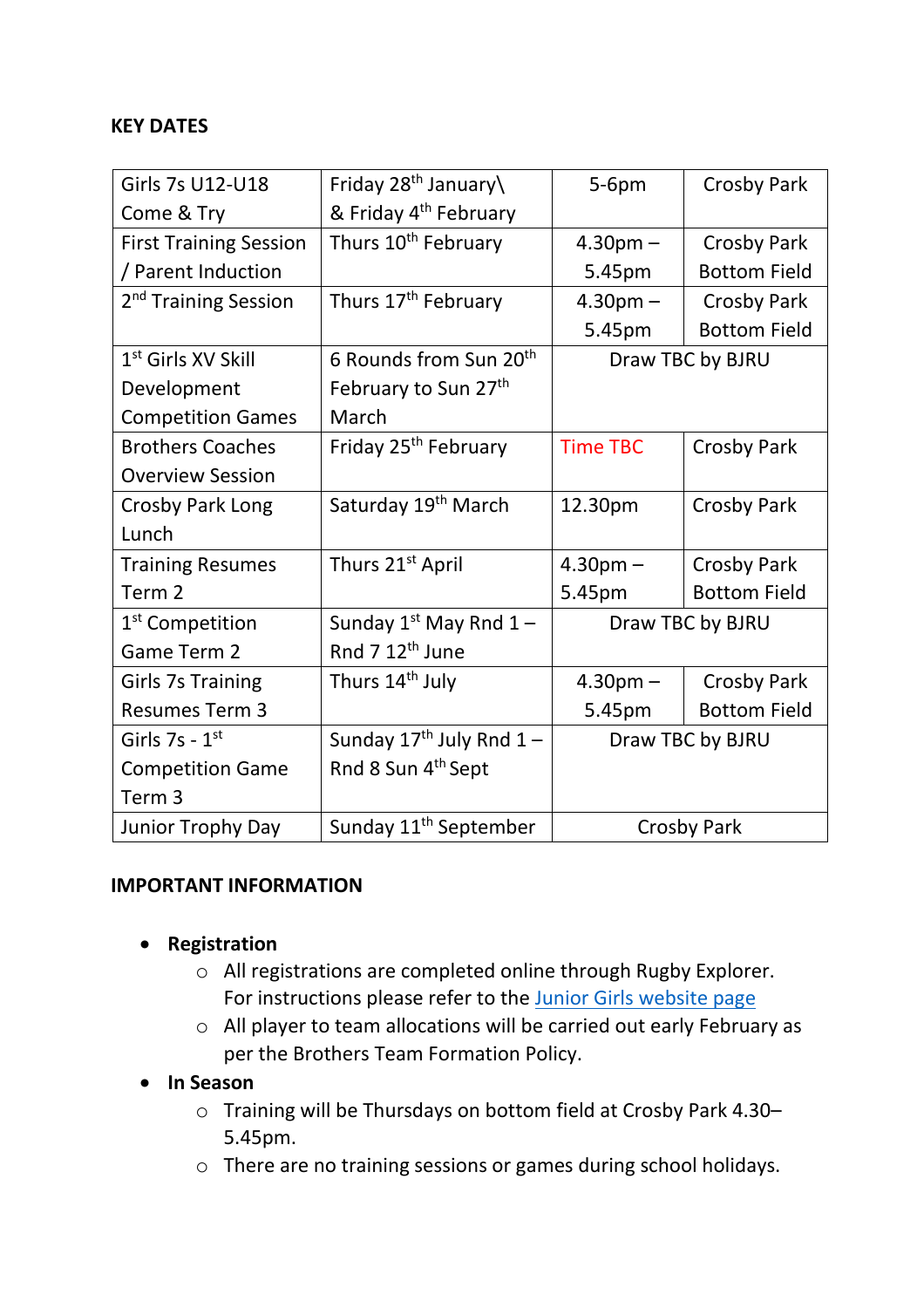## **KEY DATES**

| Girls 7s U12-U18                 | Friday 28 <sup>th</sup> January\   | $5-6pm$            | <b>Crosby Park</b>  |
|----------------------------------|------------------------------------|--------------------|---------------------|
| Come & Try                       | & Friday 4 <sup>th</sup> February  |                    |                     |
| <b>First Training Session</b>    | Thurs 10 <sup>th</sup> February    | $4.30pm -$         | Crosby Park         |
| / Parent Induction               |                                    | 5.45pm             | <b>Bottom Field</b> |
| 2 <sup>nd</sup> Training Session | Thurs 17 <sup>th</sup> February    | $4.30pm -$         | <b>Crosby Park</b>  |
|                                  |                                    | 5.45pm             | <b>Bottom Field</b> |
| 1 <sup>st</sup> Girls XV Skill   | 6 Rounds from Sun 20 <sup>th</sup> | Draw TBC by BJRU   |                     |
| Development                      | February to Sun 27th               |                    |                     |
| <b>Competition Games</b>         | March                              |                    |                     |
| <b>Brothers Coaches</b>          | Friday 25 <sup>th</sup> February   | <b>Time TBC</b>    | <b>Crosby Park</b>  |
| <b>Overview Session</b>          |                                    |                    |                     |
| Crosby Park Long                 | Saturday 19 <sup>th</sup> March    | 12.30pm            | <b>Crosby Park</b>  |
| Lunch                            |                                    |                    |                     |
| <b>Training Resumes</b>          | Thurs 21 <sup>st</sup> April       | $4.30pm -$         | Crosby Park         |
| Term <sub>2</sub>                |                                    | 5.45pm             | <b>Bottom Field</b> |
| 1 <sup>st</sup> Competition      | Sunday $1^{st}$ May Rnd $1 -$      | Draw TBC by BJRU   |                     |
| Game Term 2                      | Rnd 7 12 <sup>th</sup> June        |                    |                     |
| <b>Girls 7s Training</b>         | Thurs 14 <sup>th</sup> July        | $4.30pm -$         | <b>Crosby Park</b>  |
| <b>Resumes Term 3</b>            |                                    | 5.45pm             | <b>Bottom Field</b> |
| Girls $7s - 1st$                 | Sunday $17^{th}$ July Rnd $1-$     | Draw TBC by BJRU   |                     |
| <b>Competition Game</b>          | Rnd 8 Sun 4 <sup>th</sup> Sept     |                    |                     |
| Term <sub>3</sub>                |                                    |                    |                     |
| <b>Junior Trophy Day</b>         | Sunday 11 <sup>th</sup> September  | <b>Crosby Park</b> |                     |

#### **IMPORTANT INFORMATION**

- **Registration**
	- o All registrations are completed online through Rugby Explorer. For instructions please refer to the [Junior Girls website page](https://brothersrugby.com/girls/)
	- o All player to team allocations will be carried out early February as per the Brothers Team Formation Policy.

#### • **In Season**

- o Training will be Thursdays on bottom field at Crosby Park 4.30– 5.45pm.
- o There are no training sessions or games during school holidays.